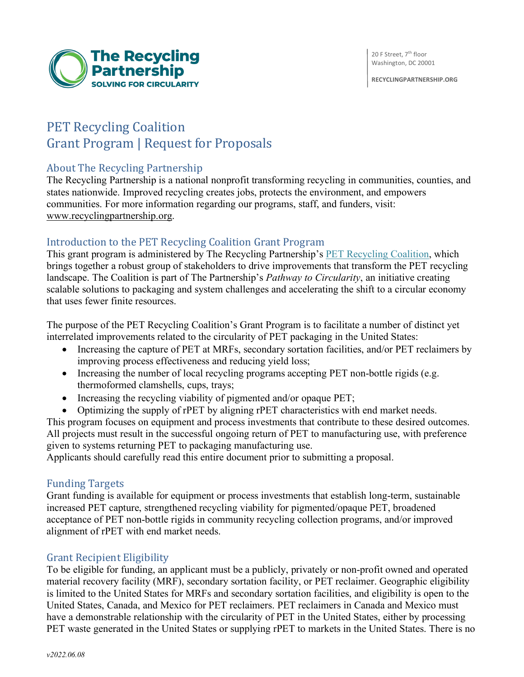20 F Street, 7<sup>th</sup> floor Washington, DC 20001

**RECYCLINGPARTNERSHIP.ORG**



# PET Recycling Coalition Grant Program | Request for Proposals

# About The Recycling Partnership

The Recycling Partnership is a national nonprofit transforming recycling in communities, counties, and states nationwide. Improved recycling creates jobs, protects the environment, and empowers communities. For more information regarding our programs, staff, and funders, visit: www.recyclingpartnership.org.

# Introduction to the PET Recycling Coalition Grant Program

This grant program is administered by The Recycling Partnership's PET Recycling Coalition, which brings together a robust group of stakeholders to drive improvements that transform the PET recycling landscape. The Coalition is part of The Partnership's *Pathway to Circularity*, an initiative creating scalable solutions to packaging and system challenges and accelerating the shift to a circular economy that uses fewer finite resources.

The purpose of the PET Recycling Coalition's Grant Program is to facilitate a number of distinct yet interrelated improvements related to the circularity of PET packaging in the United States:

- Increasing the capture of PET at MRFs, secondary sortation facilities, and/or PET reclaimers by improving process effectiveness and reducing yield loss;
- Increasing the number of local recycling programs accepting PET non-bottle rigids (e.g. thermoformed clamshells, cups, trays;
- Increasing the recycling viability of pigmented and/or opaque PET;
- Optimizing the supply of rPET by aligning rPET characteristics with end market needs.

This program focuses on equipment and process investments that contribute to these desired outcomes. All projects must result in the successful ongoing return of PET to manufacturing use, with preference given to systems returning PET to packaging manufacturing use.

Applicants should carefully read this entire document prior to submitting a proposal.

#### **Funding Targets**

Grant funding is available for equipment or process investments that establish long-term, sustainable increased PET capture, strengthened recycling viability for pigmented/opaque PET, broadened acceptance of PET non-bottle rigids in community recycling collection programs, and/or improved alignment of rPET with end market needs.

# **Grant Recipient Eligibility**

To be eligible for funding, an applicant must be a publicly, privately or non-profit owned and operated material recovery facility (MRF), secondary sortation facility, or PET reclaimer. Geographic eligibility is limited to the United States for MRFs and secondary sortation facilities, and eligibility is open to the United States, Canada, and Mexico for PET reclaimers. PET reclaimers in Canada and Mexico must have a demonstrable relationship with the circularity of PET in the United States, either by processing PET waste generated in the United States or supplying rPET to markets in the United States. There is no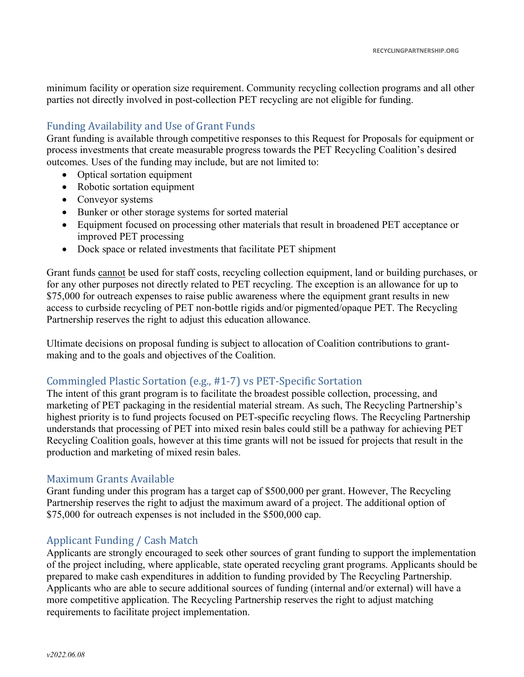minimum facility or operation size requirement. Community recycling collection programs and all other parties not directly involved in post-collection PET recycling are not eligible for funding.

# Funding Availability and Use of Grant Funds

Grant funding is available through competitive responses to this Request for Proposals for equipment or process investments that create measurable progress towards the PET Recycling Coalition's desired outcomes. Uses of the funding may include, but are not limited to:

- Optical sortation equipment
- Robotic sortation equipment
- Conveyor systems
- Bunker or other storage systems for sorted material
- Equipment focused on processing other materials that result in broadened PET acceptance or improved PET processing
- Dock space or related investments that facilitate PET shipment

Grant funds cannot be used for staff costs, recycling collection equipment, land or building purchases, or for any other purposes not directly related to PET recycling. The exception is an allowance for up to \$75,000 for outreach expenses to raise public awareness where the equipment grant results in new access to curbside recycling of PET non-bottle rigids and/or pigmented/opaque PET. The Recycling Partnership reserves the right to adjust this education allowance.

Ultimate decisions on proposal funding is subject to allocation of Coalition contributions to grantmaking and to the goals and objectives of the Coalition.

# Commingled Plastic Sortation (e.g., #1-7) vs PET-Specific Sortation

The intent of this grant program is to facilitate the broadest possible collection, processing, and marketing of PET packaging in the residential material stream. As such, The Recycling Partnership's highest priority is to fund projects focused on PET-specific recycling flows. The Recycling Partnership understands that processing of PET into mixed resin bales could still be a pathway for achieving PET Recycling Coalition goals, however at this time grants will not be issued for projects that result in the production and marketing of mixed resin bales.

# Maximum Grants Available

Grant funding under this program has a target cap of \$500,000 per grant. However, The Recycling Partnership reserves the right to adjust the maximum award of a project. The additional option of \$75,000 for outreach expenses is not included in the \$500,000 cap.

# Applicant Funding / Cash Match

Applicants are strongly encouraged to seek other sources of grant funding to support the implementation of the project including, where applicable, state operated recycling grant programs. Applicants should be prepared to make cash expenditures in addition to funding provided by The Recycling Partnership. Applicants who are able to secure additional sources of funding (internal and/or external) will have a more competitive application. The Recycling Partnership reserves the right to adjust matching requirements to facilitate project implementation.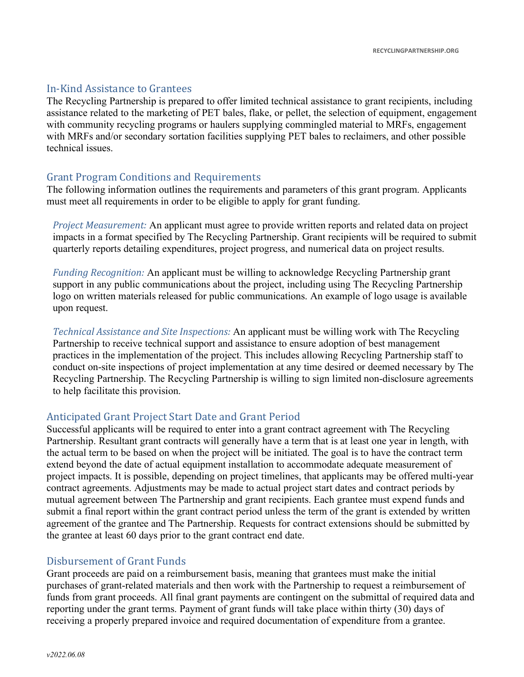#### In-Kind Assistance to Grantees

The Recycling Partnership is prepared to offer limited technical assistance to grant recipients, including assistance related to the marketing of PET bales, flake, or pellet, the selection of equipment, engagement with community recycling programs or haulers supplying commingled material to MRFs, engagement with MRFs and/or secondary sortation facilities supplying PET bales to reclaimers, and other possible technical issues.

#### Grant Program Conditions and Requirements

The following information outlines the requirements and parameters of this grant program. Applicants must meet all requirements in order to be eligible to apply for grant funding.

*Project Measurement:* An applicant must agree to provide written reports and related data on project impacts in a format specified by The Recycling Partnership. Grant recipients will be required to submit quarterly reports detailing expenditures, project progress, and numerical data on project results.

*Funding Recognition:* An applicant must be willing to acknowledge Recycling Partnership grant support in any public communications about the project, including using The Recycling Partnership logo on written materials released for public communications. An example of logo usage is available upon request.

*Technical Assistance and Site Inspections:* An applicant must be willing work with The Recycling Partnership to receive technical support and assistance to ensure adoption of best management practices in the implementation of the project. This includes allowing Recycling Partnership staff to conduct on-site inspections of project implementation at any time desired or deemed necessary by The Recycling Partnership. The Recycling Partnership is willing to sign limited non-disclosure agreements to help facilitate this provision.

#### Anticipated Grant Project Start Date and Grant Period

Successful applicants will be required to enter into a grant contract agreement with The Recycling Partnership. Resultant grant contracts will generally have a term that is at least one year in length, with the actual term to be based on when the project will be initiated. The goal is to have the contract term extend beyond the date of actual equipment installation to accommodate adequate measurement of project impacts. It is possible, depending on project timelines, that applicants may be offered multi-year contract agreements. Adjustments may be made to actual project start dates and contract periods by mutual agreement between The Partnership and grant recipients. Each grantee must expend funds and submit a final report within the grant contract period unless the term of the grant is extended by written agreement of the grantee and The Partnership. Requests for contract extensions should be submitted by the grantee at least 60 days prior to the grant contract end date.

#### Disbursement of Grant Funds

Grant proceeds are paid on a reimbursement basis, meaning that grantees must make the initial purchases of grant-related materials and then work with the Partnership to request a reimbursement of funds from grant proceeds. All final grant payments are contingent on the submittal of required data and reporting under the grant terms. Payment of grant funds will take place within thirty (30) days of receiving a properly prepared invoice and required documentation of expenditure from a grantee.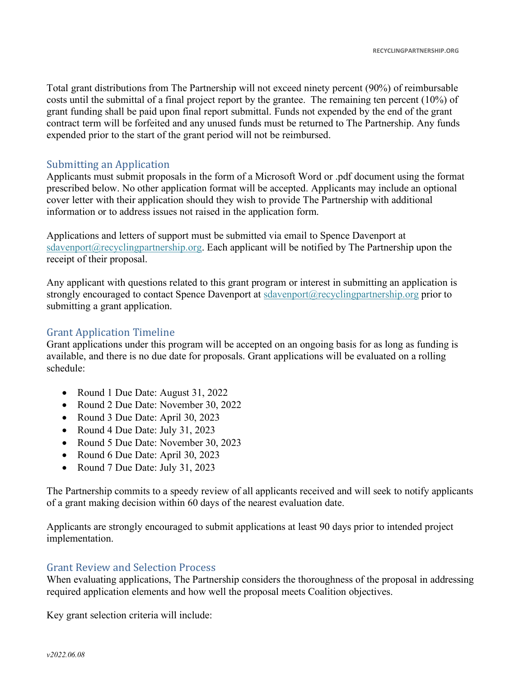Total grant distributions from The Partnership will not exceed ninety percent (90%) of reimbursable costs until the submittal of a final project report by the grantee. The remaining ten percent (10%) of grant funding shall be paid upon final report submittal. Funds not expended by the end of the grant contract term will be forfeited and any unused funds must be returned to The Partnership. Any funds expended prior to the start of the grant period will not be reimbursed.

#### Submitting an Application

Applicants must submit proposals in the form of a Microsoft Word or .pdf document using the format prescribed below. No other application format will be accepted. Applicants may include an optional cover letter with their application should they wish to provide The Partnership with additional information or to address issues not raised in the application form.

Applications and letters of support must be submitted via email to Spence Davenport at sdavenport@recyclingpartnership.org. Each applicant will be notified by The Partnership upon the receipt of their proposal.

Any applicant with questions related to this grant program or interest in submitting an application is strongly encouraged to contact Spence Davenport at sdavenport@recyclingpartnership.org prior to submitting a grant application.

# **Grant Application Timeline**

Grant applications under this program will be accepted on an ongoing basis for as long as funding is available, and there is no due date for proposals. Grant applications will be evaluated on a rolling schedule:

- Round 1 Due Date: August 31, 2022
- Round 2 Due Date: November 30, 2022
- Round 3 Due Date: April 30, 2023
- Round 4 Due Date: July 31, 2023
- Round 5 Due Date: November 30, 2023
- Round 6 Due Date: April 30, 2023
- Round 7 Due Date: July 31, 2023

The Partnership commits to a speedy review of all applicants received and will seek to notify applicants of a grant making decision within 60 days of the nearest evaluation date.

Applicants are strongly encouraged to submit applications at least 90 days prior to intended project implementation.

#### Grant Review and Selection Process

When evaluating applications, The Partnership considers the thoroughness of the proposal in addressing required application elements and how well the proposal meets Coalition objectives.

Key grant selection criteria will include: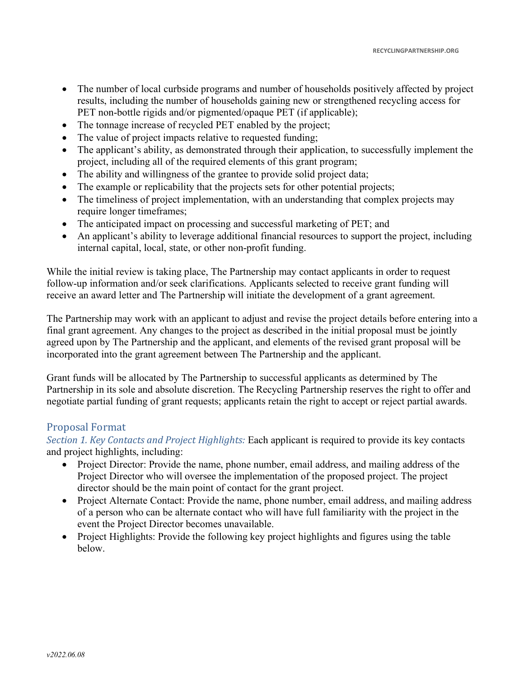- The number of local curbside programs and number of households positively affected by project results, including the number of households gaining new or strengthened recycling access for PET non-bottle rigids and/or pigmented/opaque PET (if applicable);
- The tonnage increase of recycled PET enabled by the project;
- The value of project impacts relative to requested funding;
- The applicant's ability, as demonstrated through their application, to successfully implement the project, including all of the required elements of this grant program;
- The ability and willingness of the grantee to provide solid project data;
- The example or replicability that the projects sets for other potential projects;
- The timeliness of project implementation, with an understanding that complex projects may require longer timeframes;
- The anticipated impact on processing and successful marketing of PET; and
- An applicant's ability to leverage additional financial resources to support the project, including internal capital, local, state, or other non-profit funding.

While the initial review is taking place, The Partnership may contact applicants in order to request follow-up information and/or seek clarifications. Applicants selected to receive grant funding will receive an award letter and The Partnership will initiate the development of a grant agreement.

The Partnership may work with an applicant to adjust and revise the project details before entering into a final grant agreement. Any changes to the project as described in the initial proposal must be jointly agreed upon by The Partnership and the applicant, and elements of the revised grant proposal will be incorporated into the grant agreement between The Partnership and the applicant.

Grant funds will be allocated by The Partnership to successful applicants as determined by The Partnership in its sole and absolute discretion. The Recycling Partnership reserves the right to offer and negotiate partial funding of grant requests; applicants retain the right to accept or reject partial awards.

# Proposal Format

*Section 1. Key Contacts and Project Highlights:* Each applicant is required to provide its key contacts and project highlights, including:

- Project Director: Provide the name, phone number, email address, and mailing address of the Project Director who will oversee the implementation of the proposed project. The project director should be the main point of contact for the grant project.
- Project Alternate Contact: Provide the name, phone number, email address, and mailing address of a person who can be alternate contact who will have full familiarity with the project in the event the Project Director becomes unavailable.
- Project Highlights: Provide the following key project highlights and figures using the table below.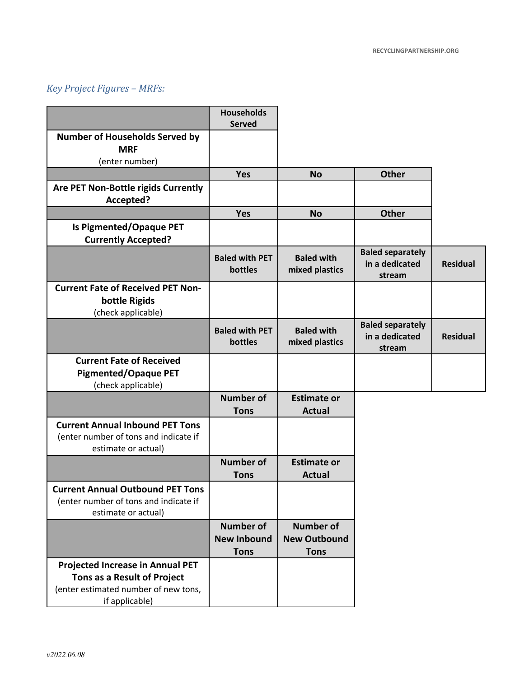# *Key Project Figures – MRFs:*

|                                                                                                                                  | <b>Households</b><br><b>Served</b>                    |                                                        |                                                     |                 |
|----------------------------------------------------------------------------------------------------------------------------------|-------------------------------------------------------|--------------------------------------------------------|-----------------------------------------------------|-----------------|
| <b>Number of Households Served by</b><br><b>MRF</b><br>(enter number)                                                            |                                                       |                                                        |                                                     |                 |
|                                                                                                                                  | <b>Yes</b>                                            | <b>No</b>                                              | <b>Other</b>                                        |                 |
| Are PET Non-Bottle rigids Currently<br>Accepted?                                                                                 |                                                       |                                                        |                                                     |                 |
|                                                                                                                                  | <b>Yes</b>                                            | <b>No</b>                                              | <b>Other</b>                                        |                 |
| <b>Is Pigmented/Opaque PET</b><br><b>Currently Accepted?</b>                                                                     |                                                       |                                                        |                                                     |                 |
|                                                                                                                                  | <b>Baled with PET</b><br>bottles                      | <b>Baled with</b><br>mixed plastics                    | <b>Baled separately</b><br>in a dedicated<br>stream | <b>Residual</b> |
| <b>Current Fate of Received PET Non-</b><br>bottle Rigids<br>(check applicable)                                                  |                                                       |                                                        |                                                     |                 |
|                                                                                                                                  | <b>Baled with PET</b><br>bottles                      | <b>Baled with</b><br>mixed plastics                    | <b>Baled separately</b><br>in a dedicated<br>stream | <b>Residual</b> |
| <b>Current Fate of Received</b><br><b>Pigmented/Opaque PET</b><br>(check applicable)                                             |                                                       |                                                        |                                                     |                 |
|                                                                                                                                  | <b>Number of</b><br><b>Tons</b>                       | <b>Estimate or</b><br><b>Actual</b>                    |                                                     |                 |
| <b>Current Annual Inbound PET Tons</b><br>(enter number of tons and indicate if<br>estimate or actual)                           |                                                       |                                                        |                                                     |                 |
|                                                                                                                                  | <b>Number of</b><br><b>Tons</b>                       | <b>Estimate or</b><br><b>Actual</b>                    |                                                     |                 |
| <b>Current Annual Outbound PET Tons</b><br>(enter number of tons and indicate if<br>estimate or actual)                          |                                                       |                                                        |                                                     |                 |
|                                                                                                                                  | <b>Number of</b><br><b>New Inbound</b><br><b>Tons</b> | <b>Number of</b><br><b>New Outbound</b><br><b>Tons</b> |                                                     |                 |
| <b>Projected Increase in Annual PET</b><br>Tons as a Result of Project<br>(enter estimated number of new tons,<br>if applicable) |                                                       |                                                        |                                                     |                 |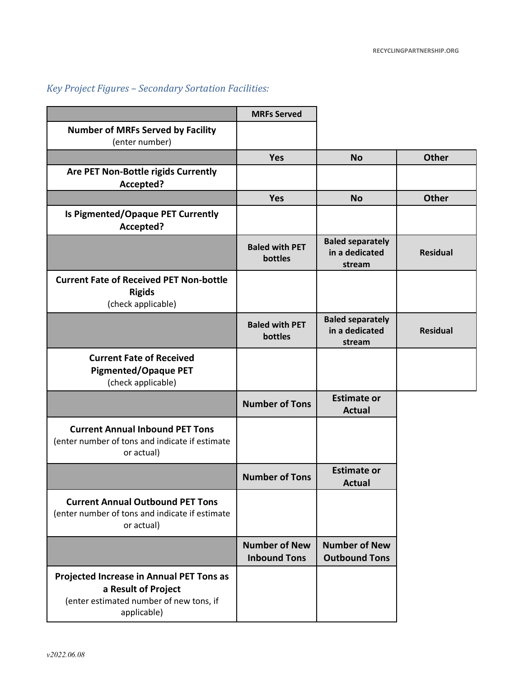# *Key Project Figures – Secondary Sortation Facilities:*

|                                                                                                                           | <b>MRFs Served</b>                          |                                                     |                 |
|---------------------------------------------------------------------------------------------------------------------------|---------------------------------------------|-----------------------------------------------------|-----------------|
| <b>Number of MRFs Served by Facility</b><br>(enter number)                                                                |                                             |                                                     |                 |
|                                                                                                                           | <b>Yes</b>                                  | <b>No</b>                                           | <b>Other</b>    |
| Are PET Non-Bottle rigids Currently<br>Accepted?                                                                          |                                             |                                                     |                 |
|                                                                                                                           | <b>Yes</b>                                  | <b>No</b>                                           | <b>Other</b>    |
| Is Pigmented/Opaque PET Currently<br>Accepted?                                                                            |                                             |                                                     |                 |
|                                                                                                                           | <b>Baled with PET</b><br>bottles            | <b>Baled separately</b><br>in a dedicated<br>stream | <b>Residual</b> |
| <b>Current Fate of Received PET Non-bottle</b><br><b>Rigids</b><br>(check applicable)                                     |                                             |                                                     |                 |
|                                                                                                                           | <b>Baled with PET</b><br>bottles            | <b>Baled separately</b><br>in a dedicated<br>stream | <b>Residual</b> |
| <b>Current Fate of Received</b><br><b>Pigmented/Opaque PET</b><br>(check applicable)                                      |                                             |                                                     |                 |
|                                                                                                                           | <b>Number of Tons</b>                       | <b>Estimate or</b><br><b>Actual</b>                 |                 |
| <b>Current Annual Inbound PET Tons</b><br>(enter number of tons and indicate if estimate<br>or actual)                    |                                             |                                                     |                 |
|                                                                                                                           | <b>Number of Tons</b>                       | <b>Estimate or</b><br><b>Actual</b>                 |                 |
| <b>Current Annual Outbound PET Tons</b><br>(enter number of tons and indicate if estimate<br>or actual)                   |                                             |                                                     |                 |
|                                                                                                                           | <b>Number of New</b><br><b>Inbound Tons</b> | <b>Number of New</b><br><b>Outbound Tons</b>        |                 |
| Projected Increase in Annual PET Tons as<br>a Result of Project<br>(enter estimated number of new tons, if<br>applicable) |                                             |                                                     |                 |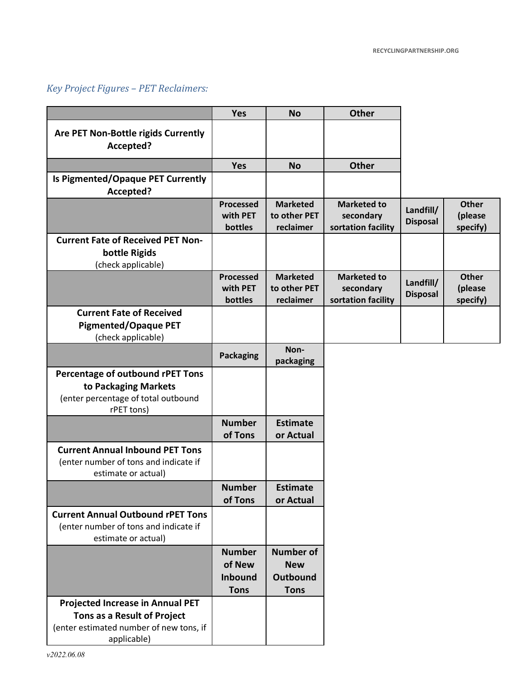# *Key Project Figures – PET Reclaimers:*

|                                                                                                                                  | <b>Yes</b>                                               | <b>No</b>                                                 | <b>Other</b>                                          |                              |                                     |
|----------------------------------------------------------------------------------------------------------------------------------|----------------------------------------------------------|-----------------------------------------------------------|-------------------------------------------------------|------------------------------|-------------------------------------|
| Are PET Non-Bottle rigids Currently<br>Accepted?                                                                                 |                                                          |                                                           |                                                       |                              |                                     |
|                                                                                                                                  | <b>Yes</b>                                               | <b>No</b>                                                 | <b>Other</b>                                          |                              |                                     |
| Is Pigmented/Opaque PET Currently<br>Accepted?                                                                                   |                                                          |                                                           |                                                       |                              |                                     |
|                                                                                                                                  | <b>Processed</b><br>with PET<br>bottles                  | <b>Marketed</b><br>to other PET<br>reclaimer              | <b>Marketed to</b><br>secondary<br>sortation facility | Landfill/<br><b>Disposal</b> | <b>Other</b><br>(please<br>specify) |
| <b>Current Fate of Received PET Non-</b><br>bottle Rigids<br>(check applicable)                                                  |                                                          |                                                           |                                                       |                              |                                     |
|                                                                                                                                  | Processed<br>with PET<br>bottles                         | <b>Marketed</b><br>to other PET<br>reclaimer              | <b>Marketed to</b><br>secondary<br>sortation facility | Landfill/<br><b>Disposal</b> | <b>Other</b><br>(please<br>specify) |
| <b>Current Fate of Received</b><br><b>Pigmented/Opaque PET</b><br>(check applicable)                                             |                                                          |                                                           |                                                       |                              |                                     |
|                                                                                                                                  | <b>Packaging</b>                                         | Non-<br>packaging                                         |                                                       |                              |                                     |
| Percentage of outbound rPET Tons<br>to Packaging Markets<br>(enter percentage of total outbound<br>rPET tons)                    |                                                          |                                                           |                                                       |                              |                                     |
|                                                                                                                                  | <b>Number</b><br>of Tons                                 | <b>Estimate</b><br>or Actual                              |                                                       |                              |                                     |
| <b>Current Annual Inbound PET Tons</b><br>(enter number of tons and indicate if<br>estimate or actual)                           |                                                          |                                                           |                                                       |                              |                                     |
|                                                                                                                                  | <b>Number</b><br>of Tons                                 | <b>Estimate</b><br>or Actual                              |                                                       |                              |                                     |
| <b>Current Annual Outbound rPET Tons</b><br>(enter number of tons and indicate if<br>estimate or actual)                         |                                                          |                                                           |                                                       |                              |                                     |
|                                                                                                                                  | <b>Number</b><br>of New<br><b>Inbound</b><br><b>Tons</b> | <b>Number of</b><br><b>New</b><br>Outbound<br><b>Tons</b> |                                                       |                              |                                     |
| <b>Projected Increase in Annual PET</b><br>Tons as a Result of Project<br>(enter estimated number of new tons, if<br>applicable) |                                                          |                                                           |                                                       |                              |                                     |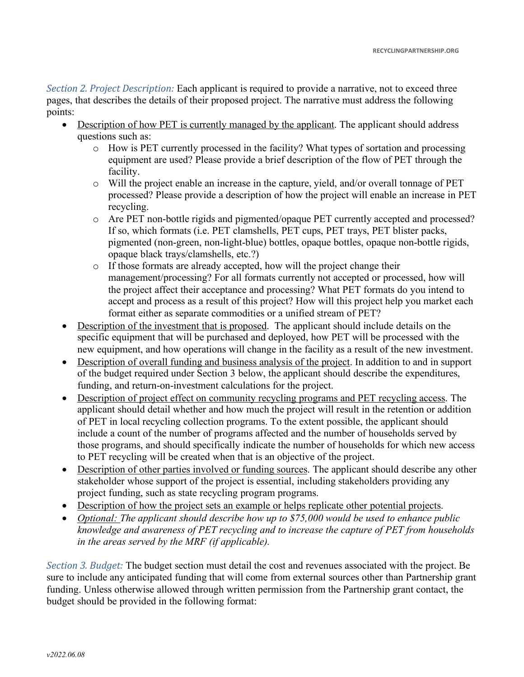*Section 2. Project Description:* Each applicant is required to provide a narrative, not to exceed three pages, that describes the details of their proposed project. The narrative must address the following points:

- Description of how PET is currently managed by the applicant. The applicant should address questions such as:
	- o How is PET currently processed in the facility? What types of sortation and processing equipment are used? Please provide a brief description of the flow of PET through the facility.
	- o Will the project enable an increase in the capture, yield, and/or overall tonnage of PET processed? Please provide a description of how the project will enable an increase in PET recycling.
	- o Are PET non-bottle rigids and pigmented/opaque PET currently accepted and processed? If so, which formats (i.e. PET clamshells, PET cups, PET trays, PET blister packs, pigmented (non-green, non-light-blue) bottles, opaque bottles, opaque non-bottle rigids, opaque black trays/clamshells, etc.?)
	- o If those formats are already accepted, how will the project change their management/processing? For all formats currently not accepted or processed, how will the project affect their acceptance and processing? What PET formats do you intend to accept and process as a result of this project? How will this project help you market each format either as separate commodities or a unified stream of PET?
- Description of the investment that is proposed. The applicant should include details on the specific equipment that will be purchased and deployed, how PET will be processed with the new equipment, and how operations will change in the facility as a result of the new investment.
- Description of overall funding and business analysis of the project. In addition to and in support of the budget required under Section 3 below, the applicant should describe the expenditures, funding, and return-on-investment calculations for the project.
- Description of project effect on community recycling programs and PET recycling access. The applicant should detail whether and how much the project will result in the retention or addition of PET in local recycling collection programs. To the extent possible, the applicant should include a count of the number of programs affected and the number of households served by those programs, and should specifically indicate the number of households for which new access to PET recycling will be created when that is an objective of the project.
- Description of other parties involved or funding sources. The applicant should describe any other stakeholder whose support of the project is essential, including stakeholders providing any project funding, such as state recycling program programs.
- Description of how the project sets an example or helps replicate other potential projects.
- *Optional: The applicant should describe how up to \$75,000 would be used to enhance public knowledge and awareness of PET recycling and to increase the capture of PET from households in the areas served by the MRF (if applicable).*

*Section 3. Budget:* The budget section must detail the cost and revenues associated with the project. Be sure to include any anticipated funding that will come from external sources other than Partnership grant funding. Unless otherwise allowed through written permission from the Partnership grant contact, the budget should be provided in the following format: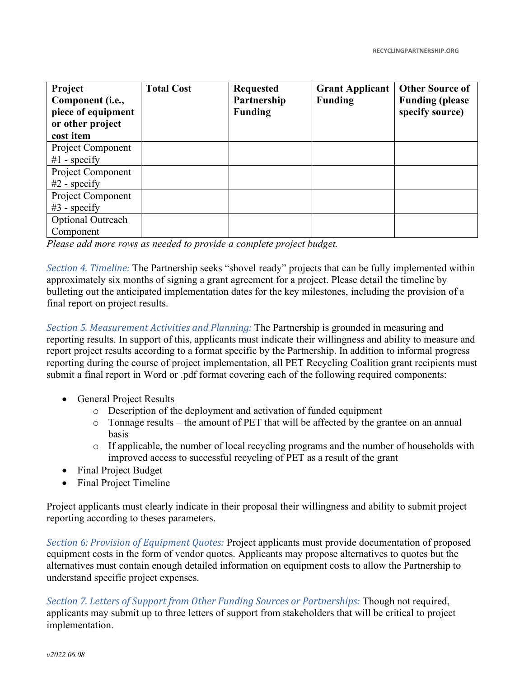| Project<br>Component (i.e.,<br>piece of equipment<br>or other project<br>cost item | <b>Total Cost</b> | <b>Requested</b><br>Partnership<br><b>Funding</b> | <b>Grant Applicant</b><br><b>Funding</b> | <b>Other Source of</b><br><b>Funding (please)</b><br>specify source) |
|------------------------------------------------------------------------------------|-------------------|---------------------------------------------------|------------------------------------------|----------------------------------------------------------------------|
| <b>Project Component</b><br>$#1$ - specify                                         |                   |                                                   |                                          |                                                                      |
| Project Component<br>$#2$ - specify                                                |                   |                                                   |                                          |                                                                      |
| Project Component<br>$#3$ - specify                                                |                   |                                                   |                                          |                                                                      |
| <b>Optional Outreach</b><br>Component                                              |                   |                                                   |                                          |                                                                      |

*Please add more rows as needed to provide a complete project budget.*

*Section 4. Timeline:* The Partnership seeks "shovel ready" projects that can be fully implemented within approximately six months of signing a grant agreement for a project. Please detail the timeline by bulleting out the anticipated implementation dates for the key milestones, including the provision of a final report on project results.

*Section 5. Measurement Activities and Planning:* The Partnership is grounded in measuring and reporting results. In support of this, applicants must indicate their willingness and ability to measure and report project results according to a format specific by the Partnership. In addition to informal progress reporting during the course of project implementation, all PET Recycling Coalition grant recipients must submit a final report in Word or .pdf format covering each of the following required components:

- General Project Results
	- o Description of the deployment and activation of funded equipment
	- o Tonnage results the amount of PET that will be affected by the grantee on an annual basis
	- o If applicable, the number of local recycling programs and the number of households with improved access to successful recycling of PET as a result of the grant
- Final Project Budget
- Final Project Timeline

Project applicants must clearly indicate in their proposal their willingness and ability to submit project reporting according to theses parameters.

*Section 6: Provision of Equipment Quotes: Project applicants must provide documentation of proposed* equipment costs in the form of vendor quotes. Applicants may propose alternatives to quotes but the alternatives must contain enough detailed information on equipment costs to allow the Partnership to understand specific project expenses.

*Section 7. Letters of Support from Other Funding Sources or Partnerships: Though not required,* applicants may submit up to three letters of support from stakeholders that will be critical to project implementation.